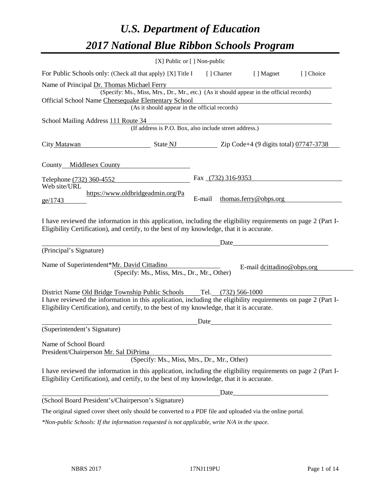# *U.S. Department of Education 2017 National Blue Ribbon Schools Program*

|                                                                                                                                                                                                                                                                  | [X] Public or [] Non-public                                                                                |        |                     |                            |           |
|------------------------------------------------------------------------------------------------------------------------------------------------------------------------------------------------------------------------------------------------------------------|------------------------------------------------------------------------------------------------------------|--------|---------------------|----------------------------|-----------|
| For Public Schools only: (Check all that apply) [X] Title I                                                                                                                                                                                                      |                                                                                                            |        | [ ] Charter         | [ ] Magnet                 | [] Choice |
| Name of Principal Dr. Thomas Michael Ferry<br>Official School Name Cheesequake Elementary School                                                                                                                                                                 | (Specify: Ms., Miss, Mrs., Dr., Mr., etc.) (As it should appear in the official records)                   |        |                     |                            |           |
|                                                                                                                                                                                                                                                                  | (As it should appear in the official records)                                                              |        |                     |                            |           |
| School Mailing Address 111 Route 34                                                                                                                                                                                                                              | (If address is P.O. Box, also include street address.)                                                     |        |                     |                            |           |
| City Matawan State NJ State NJ Zip Code+4 (9 digits total) 07747-3738                                                                                                                                                                                            |                                                                                                            |        |                     |                            |           |
| County Middlesex County                                                                                                                                                                                                                                          |                                                                                                            |        |                     |                            |           |
| Telephone (732) 360-4552                                                                                                                                                                                                                                         |                                                                                                            |        | Fax (732) 316-9353  |                            |           |
| Web site/URL<br>ge/1743                                                                                                                                                                                                                                          | https://www.oldbridgeadmin.org/Pa                                                                          | E-mail |                     | thomas.ferry@obps.org      |           |
| I have reviewed the information in this application, including the eligibility requirements on page 2 (Part I-                                                                                                                                                   | Eligibility Certification), and certify, to the best of my knowledge, that it is accurate.                 |        |                     |                            |           |
| (Principal's Signature)                                                                                                                                                                                                                                          |                                                                                                            |        | Date                |                            |           |
| Name of Superintendent*Mr. David Cittadino                                                                                                                                                                                                                       | (Specify: Ms., Miss, Mrs., Dr., Mr., Other)                                                                |        |                     | E-mail dcittadino@obps.org |           |
| District Name Old Bridge Township Public Schools<br>I have reviewed the information in this application, including the eligibility requirements on page 2 (Part I-<br>Eligibility Certification), and certify, to the best of my knowledge, that it is accurate. |                                                                                                            |        | Tel. (732) 566-1000 |                            |           |
| (Superintendent's Signature)                                                                                                                                                                                                                                     |                                                                                                            | Date   |                     |                            |           |
| Name of School Board<br>President/Chairperson Mr. Sal DiPrima                                                                                                                                                                                                    | (Specify: Ms., Miss, Mrs., Dr., Mr., Other)                                                                |        |                     |                            |           |
| I have reviewed the information in this application, including the eligibility requirements on page 2 (Part I-                                                                                                                                                   | Eligibility Certification), and certify, to the best of my knowledge, that it is accurate.                 |        |                     |                            |           |
|                                                                                                                                                                                                                                                                  |                                                                                                            |        |                     |                            |           |
| (School Board President's/Chairperson's Signature)                                                                                                                                                                                                               |                                                                                                            |        |                     |                            |           |
|                                                                                                                                                                                                                                                                  | The original signed cover sheet only should be converted to a PDF file and uploaded via the online portal. |        |                     |                            |           |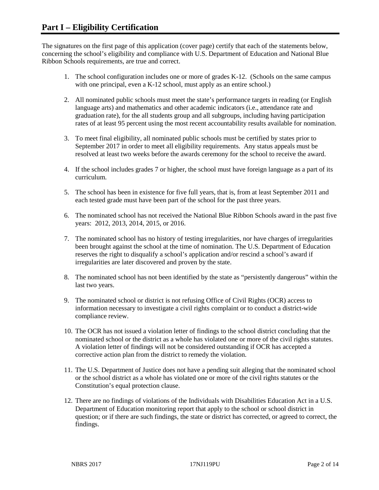The signatures on the first page of this application (cover page) certify that each of the statements below, concerning the school's eligibility and compliance with U.S. Department of Education and National Blue Ribbon Schools requirements, are true and correct.

- 1. The school configuration includes one or more of grades K-12. (Schools on the same campus with one principal, even a K-12 school, must apply as an entire school.)
- 2. All nominated public schools must meet the state's performance targets in reading (or English language arts) and mathematics and other academic indicators (i.e., attendance rate and graduation rate), for the all students group and all subgroups, including having participation rates of at least 95 percent using the most recent accountability results available for nomination.
- 3. To meet final eligibility, all nominated public schools must be certified by states prior to September 2017 in order to meet all eligibility requirements. Any status appeals must be resolved at least two weeks before the awards ceremony for the school to receive the award.
- 4. If the school includes grades 7 or higher, the school must have foreign language as a part of its curriculum.
- 5. The school has been in existence for five full years, that is, from at least September 2011 and each tested grade must have been part of the school for the past three years.
- 6. The nominated school has not received the National Blue Ribbon Schools award in the past five years: 2012, 2013, 2014, 2015, or 2016.
- 7. The nominated school has no history of testing irregularities, nor have charges of irregularities been brought against the school at the time of nomination. The U.S. Department of Education reserves the right to disqualify a school's application and/or rescind a school's award if irregularities are later discovered and proven by the state.
- 8. The nominated school has not been identified by the state as "persistently dangerous" within the last two years.
- 9. The nominated school or district is not refusing Office of Civil Rights (OCR) access to information necessary to investigate a civil rights complaint or to conduct a district-wide compliance review.
- 10. The OCR has not issued a violation letter of findings to the school district concluding that the nominated school or the district as a whole has violated one or more of the civil rights statutes. A violation letter of findings will not be considered outstanding if OCR has accepted a corrective action plan from the district to remedy the violation.
- 11. The U.S. Department of Justice does not have a pending suit alleging that the nominated school or the school district as a whole has violated one or more of the civil rights statutes or the Constitution's equal protection clause.
- 12. There are no findings of violations of the Individuals with Disabilities Education Act in a U.S. Department of Education monitoring report that apply to the school or school district in question; or if there are such findings, the state or district has corrected, or agreed to correct, the findings.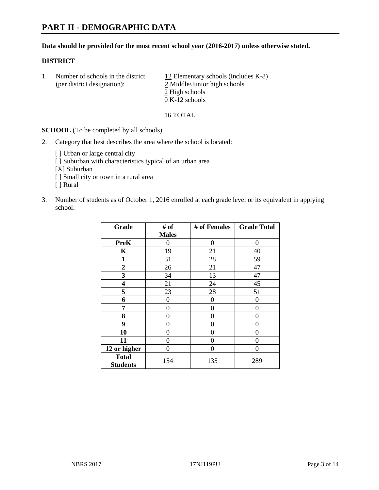#### **Data should be provided for the most recent school year (2016-2017) unless otherwise stated.**

#### **DISTRICT**

1. Number of schools in the district  $12$  Elementary schools (includes K-8) (per district designation): 2 Middle/Junior high schools 2 High schools 0 K-12 schools

16 TOTAL

**SCHOOL** (To be completed by all schools)

- 2. Category that best describes the area where the school is located:
	- [] Urban or large central city [ ] Suburban with characteristics typical of an urban area [X] Suburban [ ] Small city or town in a rural area [ ] Rural
- 3. Number of students as of October 1, 2016 enrolled at each grade level or its equivalent in applying school:

| Grade                           | # of         | # of Females | <b>Grade Total</b> |
|---------------------------------|--------------|--------------|--------------------|
|                                 | <b>Males</b> |              |                    |
| <b>PreK</b>                     | 0            | $\theta$     | 0                  |
| K                               | 19           | 21           | 40                 |
| 1                               | 31           | 28           | 59                 |
| $\overline{2}$                  | 26           | 21           | 47                 |
| 3                               | 34           | 13           | 47                 |
| 4                               | 21           | 24           | 45                 |
| 5                               | 23           | 28           | 51                 |
| 6                               | 0            | 0            | 0                  |
| 7                               | 0            | 0            | 0                  |
| 8                               | 0            | 0            | 0                  |
| 9                               | 0            | 0            | 0                  |
| 10                              | $\theta$     | 0            | $\Omega$           |
| 11                              | 0            | 0            | $\mathbf{\Omega}$  |
| 12 or higher                    | 0            | 0            | 0                  |
| <b>Total</b><br><b>Students</b> | 154          | 135          | 289                |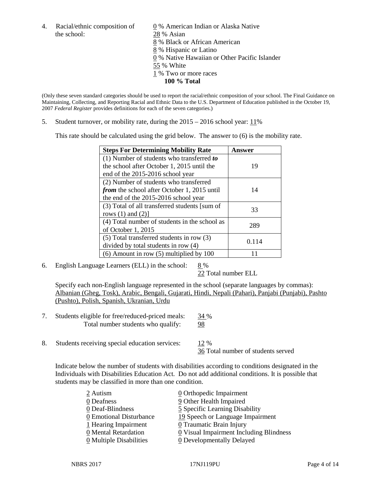the school: 28 % Asian

4. Racial/ethnic composition of  $\qquad 0 \%$  American Indian or Alaska Native 8 % Black or African American 8 % Hispanic or Latino 0 % Native Hawaiian or Other Pacific Islander 55 % White 1 % Two or more races **100 % Total**

(Only these seven standard categories should be used to report the racial/ethnic composition of your school. The Final Guidance on Maintaining, Collecting, and Reporting Racial and Ethnic Data to the U.S. Department of Education published in the October 19, 2007 *Federal Register* provides definitions for each of the seven categories.)

5. Student turnover, or mobility rate, during the 2015 – 2016 school year: 11%

This rate should be calculated using the grid below. The answer to (6) is the mobility rate.

| <b>Steps For Determining Mobility Rate</b>         | Answer |  |
|----------------------------------------------------|--------|--|
| (1) Number of students who transferred to          |        |  |
| the school after October 1, 2015 until the         | 19     |  |
| end of the 2015-2016 school year                   |        |  |
| (2) Number of students who transferred             |        |  |
| <i>from</i> the school after October 1, 2015 until | 14     |  |
| the end of the 2015-2016 school year               |        |  |
| (3) Total of all transferred students [sum of      | 33     |  |
| rows $(1)$ and $(2)$ ]                             |        |  |
| (4) Total number of students in the school as      | 289    |  |
| of October 1, 2015                                 |        |  |
| (5) Total transferred students in row (3)          |        |  |
| divided by total students in row (4)               | 0.114  |  |
| $(6)$ Amount in row $(5)$ multiplied by 100        |        |  |

6. English Language Learners (ELL) in the school:  $8\%$ 

22 Total number ELL

Specify each non-English language represented in the school (separate languages by commas): Albanian (Gheg, Tosk), Arabic, Bengali, Gujarati, Hindi, Nepali (Pahari), Panjabi (Punjabi), Pashto (Pushto), Polish, Spanish, Ukranian, Urdu

- 7. Students eligible for free/reduced-priced meals: 34 % Total number students who qualify: 98
- 8. Students receiving special education services:  $12\%$ 36 Total number of students served

Indicate below the number of students with disabilities according to conditions designated in the Individuals with Disabilities Education Act. Do not add additional conditions. It is possible that students may be classified in more than one condition.

| 2 Autism                              | $\underline{0}$ Orthopedic Impairment     |
|---------------------------------------|-------------------------------------------|
| 0 Deafness                            | 9 Other Health Impaired                   |
| 0 Deaf-Blindness                      | 5 Specific Learning Disability            |
| 0 Emotional Disturbance               | 19 Speech or Language Impairment          |
| 1 Hearing Impairment                  | 0 Traumatic Brain Injury                  |
| 0 Mental Retardation                  | $Q$ Visual Impairment Including Blindness |
| $\underline{0}$ Multiple Disabilities | <b>0</b> Developmentally Delayed          |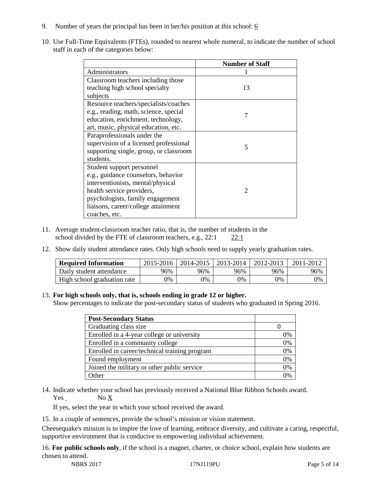- 9. Number of years the principal has been in her/his position at this school:  $6$
- 10. Use Full-Time Equivalents (FTEs), rounded to nearest whole numeral, to indicate the number of school staff in each of the categories below:

|                                        | <b>Number of Staff</b> |  |  |
|----------------------------------------|------------------------|--|--|
| Administrators                         |                        |  |  |
| Classroom teachers including those     |                        |  |  |
| teaching high school specialty         | 13                     |  |  |
| subjects                               |                        |  |  |
| Resource teachers/specialists/coaches  |                        |  |  |
| e.g., reading, math, science, special  | 7                      |  |  |
| education, enrichment, technology,     |                        |  |  |
| art, music, physical education, etc.   |                        |  |  |
| Paraprofessionals under the            |                        |  |  |
| supervision of a licensed professional | 5                      |  |  |
| supporting single, group, or classroom |                        |  |  |
| students.                              |                        |  |  |
| Student support personnel              |                        |  |  |
| e.g., guidance counselors, behavior    |                        |  |  |
| interventionists, mental/physical      |                        |  |  |
| health service providers,              | $\mathfrak{D}$         |  |  |
| psychologists, family engagement       |                        |  |  |
| liaisons, career/college attainment    |                        |  |  |
| coaches, etc.                          |                        |  |  |

- 11. Average student-classroom teacher ratio, that is, the number of students in the school divided by the FTE of classroom teachers, e.g., 22:1 22:1
- 12. Show daily student attendance rates. Only high schools need to supply yearly graduation rates.

| <b>Required Information</b> | 2015-2016 | 2014-2015 | 2013-2014 | 2012-2013 |     |
|-----------------------------|-----------|-----------|-----------|-----------|-----|
| Daily student attendance    | 96%       | 96%       | 96%       | 96%       | 96% |
| High school graduation rate | 0%        | 0%        | 0%        | 9%        | 0%  |

#### 13. **For high schools only, that is, schools ending in grade 12 or higher.**

Show percentages to indicate the post-secondary status of students who graduated in Spring 2016.

| <b>Post-Secondary Status</b>                  |    |
|-----------------------------------------------|----|
| Graduating class size                         |    |
| Enrolled in a 4-year college or university    | 0% |
| Enrolled in a community college               | 0% |
| Enrolled in career/technical training program | 0% |
| Found employment                              | 0% |
| Joined the military or other public service   | 0% |
| )ther                                         |    |

14. Indicate whether your school has previously received a National Blue Ribbon Schools award. Yes No X

If yes, select the year in which your school received the award.

15. In a couple of sentences, provide the school's mission or vision statement.

Cheesequake's mission is to inspire the love of learning, embrace diversity, and cultivate a caring, respectful, supportive environment that is conducive to empowering individual achievement.

16. **For public schools only**, if the school is a magnet, charter, or choice school, explain how students are chosen to attend.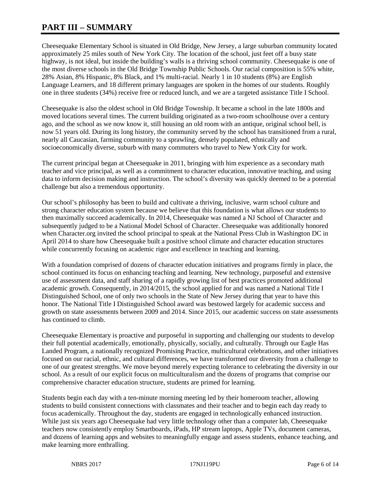# **PART III – SUMMARY**

Cheesequake Elementary School is situated in Old Bridge, New Jersey, a large suburban community located approximately 25 miles south of New York City. The location of the school, just feet off a busy state highway, is not ideal, but inside the building's walls is a thriving school community. Cheesequake is one of the most diverse schools in the Old Bridge Township Public Schools. Our racial composition is 55% white, 28% Asian, 8% Hispanic, 8% Black, and 1% multi-racial. Nearly 1 in 10 students (8%) are English Language Learners, and 18 different primary languages are spoken in the homes of our students. Roughly one in three students (34%) receive free or reduced lunch, and we are a targeted assistance Title I School.

Cheesequake is also the oldest school in Old Bridge Township. It became a school in the late 1800s and moved locations several times. The current building originated as a two-room schoolhouse over a century ago, and the school as we now know it, still housing an old room with an antique, original school bell, is now 51 years old. During its long history, the community served by the school has transitioned from a rural, nearly all Caucasian, farming community to a sprawling, densely populated, ethnically and socioeconomically diverse, suburb with many commuters who travel to New York City for work.

The current principal began at Cheesequake in 2011, bringing with him experience as a secondary math teacher and vice principal, as well as a commitment to character education, innovative teaching, and using data to inform decision making and instruction. The school's diversity was quickly deemed to be a potential challenge but also a tremendous opportunity.

Our school's philosophy has been to build and cultivate a thriving, inclusive, warm school culture and strong character education system because we believe that this foundation is what allows our students to then maximally succeed academically. In 2014, Cheesequake was named a NJ School of Character and subsequently judged to be a National Model School of Character. Cheesequake was additionally honored when Character.org invited the school principal to speak at the National Press Club in Washington DC in April 2014 to share how Cheesequake built a positive school climate and character education structures while concurrently focusing on academic rigor and excellence in teaching and learning.

With a foundation comprised of dozens of character education initiatives and programs firmly in place, the school continued its focus on enhancing teaching and learning. New technology, purposeful and extensive use of assessment data, and staff sharing of a rapidly growing list of best practices promoted additional academic growth. Consequently, in 2014/2015, the school applied for and was named a National Title I Distinguished School, one of only two schools in the State of New Jersey during that year to have this honor. The National Title I Distinguished School award was bestowed largely for academic success and growth on state assessments between 2009 and 2014. Since 2015, our academic success on state assessments has continued to climb.

Cheesequake Elementary is proactive and purposeful in supporting and challenging our students to develop their full potential academically, emotionally, physically, socially, and culturally. Through our Eagle Has Landed Program, a nationally recognized Promising Practice, multicultural celebrations, and other initiatives focused on our racial, ethnic, and cultural differences, we have transformed our diversity from a challenge to one of our greatest strengths. We move beyond merely expecting tolerance to celebrating the diversity in our school. As a result of our explicit focus on multiculturalism and the dozens of programs that comprise our comprehensive character education structure, students are primed for learning.

Students begin each day with a ten-minute morning meeting led by their homeroom teacher, allowing students to build consistent connections with classmates and their teacher and to begin each day ready to focus academically. Throughout the day, students are engaged in technologically enhanced instruction. While just six years ago Cheesequake had very little technology other than a computer lab, Cheesequake teachers now consistently employ Smartboards, iPads, HP stream laptops, Apple TVs, document cameras, and dozens of learning apps and websites to meaningfully engage and assess students, enhance teaching, and make learning more enthralling.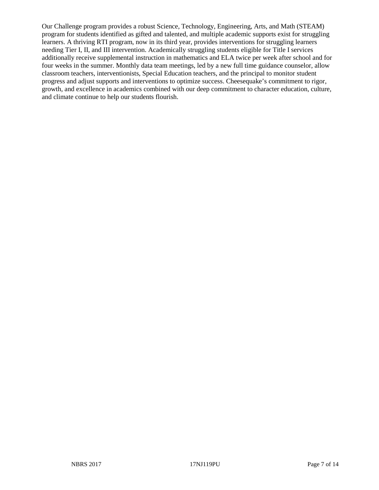Our Challenge program provides a robust Science, Technology, Engineering, Arts, and Math (STEAM) program for students identified as gifted and talented, and multiple academic supports exist for struggling learners. A thriving RTI program, now in its third year, provides interventions for struggling learners needing Tier I, II, and III intervention. Academically struggling students eligible for Title I services additionally receive supplemental instruction in mathematics and ELA twice per week after school and for four weeks in the summer. Monthly data team meetings, led by a new full time guidance counselor, allow classroom teachers, interventionists, Special Education teachers, and the principal to monitor student progress and adjust supports and interventions to optimize success. Cheesequake's commitment to rigor, growth, and excellence in academics combined with our deep commitment to character education, culture, and climate continue to help our students flourish.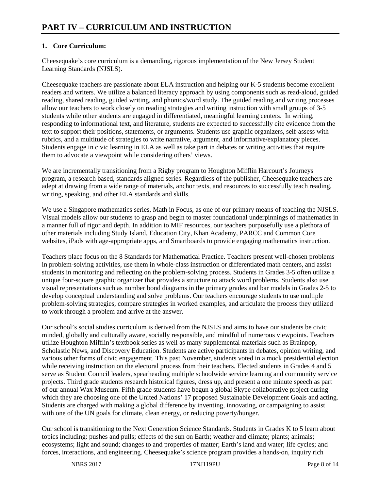# **1. Core Curriculum:**

Cheesequake's core curriculum is a demanding, rigorous implementation of the New Jersey Student Learning Standards (NJSLS).

Cheesequake teachers are passionate about ELA instruction and helping our K-5 students become excellent readers and writers. We utilize a balanced literacy approach by using components such as read-aloud, guided reading, shared reading, guided writing, and phonics/word study. The guided reading and writing processes allow our teachers to work closely on reading strategies and writing instruction with small groups of 3-5 students while other students are engaged in differentiated, meaningful learning centers. In writing, responding to informational text, and literature, students are expected to successfully cite evidence from the text to support their positions, statements, or arguments. Students use graphic organizers, self-assess with rubrics, and a multitude of strategies to write narrative, argument, and informative/explanatory pieces. Students engage in civic learning in ELA as well as take part in debates or writing activities that require them to advocate a viewpoint while considering others' views.

We are incrementally transitioning from a Rigby program to Houghton Mifflin Harcourt's Journeys program, a research based, standards aligned series. Regardless of the publisher, Cheesequake teachers are adept at drawing from a wide range of materials, anchor texts, and resources to successfully teach reading, writing, speaking, and other ELA standards and skills.

We use a Singapore mathematics series, Math in Focus, as one of our primary means of teaching the NJSLS. Visual models allow our students to grasp and begin to master foundational underpinnings of mathematics in a manner full of rigor and depth. In addition to MIF resources, our teachers purposefully use a plethora of other materials including Study Island, Education City, Khan Academy, PARCC and Common Core websites, iPads with age-appropriate apps, and Smartboards to provide engaging mathematics instruction.

Teachers place focus on the 8 Standards for Mathematical Practice. Teachers present well-chosen problems in problem-solving activities, use them in whole-class instruction or differentiated math centers, and assist students in monitoring and reflecting on the problem-solving process. Students in Grades 3-5 often utilize a unique four-square graphic organizer that provides a structure to attack word problems. Students also use visual representations such as number bond diagrams in the primary grades and bar models in Grades 2-5 to develop conceptual understanding and solve problems. Our teachers encourage students to use multiple problem-solving strategies, compare strategies in worked examples, and articulate the process they utilized to work through a problem and arrive at the answer.

Our school's social studies curriculum is derived from the NJSLS and aims to have our students be civic minded, globally and culturally aware, socially responsible, and mindful of numerous viewpoints. Teachers utilize Houghton Mifflin's textbook series as well as many supplemental materials such as Brainpop, Scholastic News, and Discovery Education. Students are active participants in debates, opinion writing, and various other forms of civic engagement. This past November, students voted in a mock presidential election while receiving instruction on the electoral process from their teachers. Elected students in Grades 4 and 5 serve as Student Council leaders, spearheading multiple schoolwide service learning and community service projects. Third grade students research historical figures, dress up, and present a one minute speech as part of our annual Wax Museum. Fifth grade students have begun a global Skype collaborative project during which they are choosing one of the United Nations' 17 proposed Sustainable Development Goals and acting. Students are charged with making a global difference by inventing, innovating, or campaigning to assist with one of the UN goals for climate, clean energy, or reducing poverty/hunger.

Our school is transitioning to the Next Generation Science Standards. Students in Grades K to 5 learn about topics including: pushes and pulls; effects of the sun on Earth; weather and climate; plants; animals; ecosystems; light and sound; changes to and properties of matter; Earth's land and water; life cycles; and forces, interactions, and engineering. Cheesequake's science program provides a hands-on, inquiry rich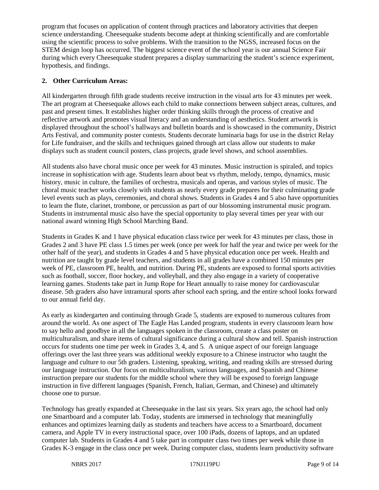program that focuses on application of content through practices and laboratory activities that deepen science understanding. Cheesequake students become adept at thinking scientifically and are comfortable using the scientific process to solve problems. With the transition to the NGSS, increased focus on the STEM design loop has occurred. The biggest science event of the school year is our annual Science Fair during which every Cheesequake student prepares a display summarizing the student's science experiment, hypothesis, and findings.

## **2. Other Curriculum Areas:**

All kindergarten through fifth grade students receive instruction in the visual arts for 43 minutes per week. The art program at Cheesequake allows each child to make connections between subject areas, cultures, and past and present times. It establishes higher order thinking skills through the process of creative and reflective artwork and promotes visual literacy and an understanding of aesthetics. Student artwork is displayed throughout the school's hallways and bulletin boards and is showcased in the community, District Arts Festival, and community poster contests. Students decorate luminaria bags for use in the district Relay for Life fundraiser, and the skills and techniques gained through art class allow our students to make displays such as student council posters, class projects, grade level shows, and school assemblies.

All students also have choral music once per week for 43 minutes. Music instruction is spiraled, and topics increase in sophistication with age. Students learn about beat vs rhythm, melody, tempo, dynamics, music history, music in culture, the families of orchestra, musicals and operas, and various styles of music. The choral music teacher works closely with students as nearly every grade prepares for their culminating grade level events such as plays, ceremonies, and choral shows. Students in Grades 4 and 5 also have opportunities to learn the flute, clarinet, trombone, or percussion as part of our blossoming instrumental music program. Students in instrumental music also have the special opportunity to play several times per year with our national award winning High School Marching Band.

Students in Grades K and 1 have physical education class twice per week for 43 minutes per class, those in Grades 2 and 3 have PE class 1.5 times per week (once per week for half the year and twice per week for the other half of the year), and students in Grades 4 and 5 have physical education once per week. Health and nutrition are taught by grade level teachers, and students in all grades have a combined 150 minutes per week of PE, classroom PE, health, and nutrition. During PE, students are exposed to formal sports activities such as football, soccer, floor hockey, and volleyball, and they also engage in a variety of cooperative learning games. Students take part in Jump Rope for Heart annually to raise money for cardiovascular disease. 5th graders also have intramural sports after school each spring, and the entire school looks forward to our annual field day.

As early as kindergarten and continuing through Grade 5, students are exposed to numerous cultures from around the world. As one aspect of The Eagle Has Landed program, students in every classroom learn how to say hello and goodbye in all the languages spoken in the classroom, create a class poster on multiculturalism, and share items of cultural significance during a cultural show and tell. Spanish instruction occurs for students one time per week in Grades 3, 4, and 5. A unique aspect of our foreign language offerings over the last three years was additional weekly exposure to a Chinese instructor who taught the language and culture to our 5th graders. Listening, speaking, writing, and reading skills are stressed during our language instruction. Our focus on multiculturalism, various languages, and Spanish and Chinese instruction prepare our students for the middle school where they will be exposed to foreign language instruction in five different languages (Spanish, French, Italian, German, and Chinese) and ultimately choose one to pursue.

Technology has greatly expanded at Cheesequake in the last six years. Six years ago, the school had only one Smartboard and a computer lab. Today, students are immersed in technology that meaningfully enhances and optimizes learning daily as students and teachers have access to a Smartboard, document camera, and Apple TV in every instructional space, over 100 iPads, dozens of laptops, and an updated computer lab. Students in Grades 4 and 5 take part in computer class two times per week while those in Grades K-3 engage in the class once per week. During computer class, students learn productivity software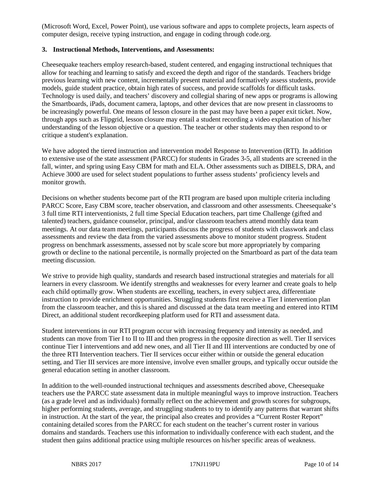(Microsoft Word, Excel, Power Point), use various software and apps to complete projects, learn aspects of computer design, receive typing instruction, and engage in coding through code.org.

#### **3. Instructional Methods, Interventions, and Assessments:**

Cheesequake teachers employ research-based, student centered, and engaging instructional techniques that allow for teaching and learning to satisfy and exceed the depth and rigor of the standards. Teachers bridge previous learning with new content, incrementally present material and formatively assess students, provide models, guide student practice, obtain high rates of success, and provide scaffolds for difficult tasks. Technology is used daily, and teachers' discovery and collegial sharing of new apps or programs is allowing the Smartboards, iPads, document camera, laptops, and other devices that are now present in classrooms to be increasingly powerful. One means of lesson closure in the past may have been a paper exit ticket. Now, through apps such as Flipgrid, lesson closure may entail a student recording a video explanation of his/her understanding of the lesson objective or a question. The teacher or other students may then respond to or critique a student's explanation.

We have adopted the tiered instruction and intervention model Response to Intervention (RTI). In addition to extensive use of the state assessment (PARCC) for students in Grades 3-5, all students are screened in the fall, winter, and spring using Easy CBM for math and ELA. Other assessments such as DIBELS, DRA, and Achieve 3000 are used for select student populations to further assess students' proficiency levels and monitor growth.

Decisions on whether students become part of the RTI program are based upon multiple criteria including PARCC Score, Easy CBM score, teacher observation, and classroom and other assessments. Cheesequake's 3 full time RTI interventionists, 2 full time Special Education teachers, part time Challenge (gifted and talented) teachers, guidance counselor, principal, and/or classroom teachers attend monthly data team meetings. At our data team meetings, participants discuss the progress of students with classwork and class assessments and review the data from the varied assessments above to monitor student progress. Student progress on benchmark assessments, assessed not by scale score but more appropriately by comparing growth or decline to the national percentile, is normally projected on the Smartboard as part of the data team meeting discussion.

We strive to provide high quality, standards and research based instructional strategies and materials for all learners in every classroom. We identify strengths and weaknesses for every learner and create goals to help each child optimally grow. When students are excelling, teachers, in every subject area, differentiate instruction to provide enrichment opportunities. Struggling students first receive a Tier I intervention plan from the classroom teacher, and this is shared and discussed at the data team meeting and entered into RTIM Direct, an additional student recordkeeping platform used for RTI and assessment data.

Student interventions in our RTI program occur with increasing frequency and intensity as needed, and students can move from Tier I to II to III and then progress in the opposite direction as well. Tier II services continue Tier I interventions and add new ones, and all Tier II and III interventions are conducted by one of the three RTI Intervention teachers. Tier II services occur either within or outside the general education setting, and Tier III services are more intensive, involve even smaller groups, and typically occur outside the general education setting in another classroom.

In addition to the well-rounded instructional techniques and assessments described above, Cheesequake teachers use the PARCC state assessment data in multiple meaningful ways to improve instruction. Teachers (as a grade level and as individuals) formally reflect on the achievement and growth scores for subgroups, higher performing students, average, and struggling students to try to identify any patterns that warrant shifts in instruction. At the start of the year, the principal also creates and provides a "Current Roster Report" containing detailed scores from the PARCC for each student on the teacher's current roster in various domains and standards. Teachers use this information to individually conference with each student, and the student then gains additional practice using multiple resources on his/her specific areas of weakness.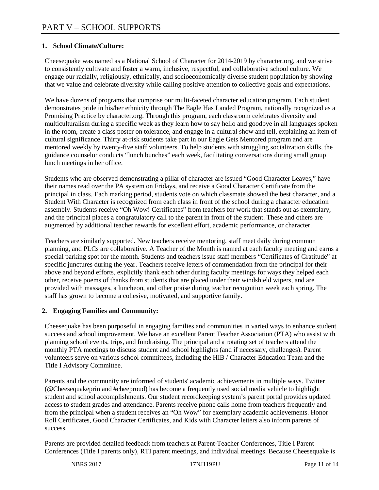# **1. School Climate/Culture:**

Cheesequake was named as a National School of Character for 2014-2019 by character.org, and we strive to consistently cultivate and foster a warm, inclusive, respectful, and collaborative school culture. We engage our racially, religiously, ethnically, and socioeconomically diverse student population by showing that we value and celebrate diversity while calling positive attention to collective goals and expectations.

We have dozens of programs that comprise our multi-faceted character education program. Each student demonstrates pride in his/her ethnicity through The Eagle Has Landed Program, nationally recognized as a Promising Practice by character.org. Through this program, each classroom celebrates diversity and multiculturalism during a specific week as they learn how to say hello and goodbye in all languages spoken in the room, create a class poster on tolerance, and engage in a cultural show and tell, explaining an item of cultural significance. Thirty at-risk students take part in our Eagle Gets Mentored program and are mentored weekly by twenty-five staff volunteers. To help students with struggling socialization skills, the guidance counselor conducts "lunch bunches" each week, facilitating conversations during small group lunch meetings in her office.

Students who are observed demonstrating a pillar of character are issued "Good Character Leaves," have their names read over the PA system on Fridays, and receive a Good Character Certificate from the principal in class. Each marking period, students vote on which classmate showed the best character, and a Student With Character is recognized from each class in front of the school during a character education assembly. Students receive "Oh Wow! Certificates" from teachers for work that stands out as exemplary, and the principal places a congratulatory call to the parent in front of the student. These and others are augmented by additional teacher rewards for excellent effort, academic performance, or character.

Teachers are similarly supported. New teachers receive mentoring, staff meet daily during common planning, and PLCs are collaborative. A Teacher of the Month is named at each faculty meeting and earns a special parking spot for the month. Students and teachers issue staff members "Certificates of Gratitude" at specific junctures during the year. Teachers receive letters of commendation from the principal for their above and beyond efforts, explicitly thank each other during faculty meetings for ways they helped each other, receive poems of thanks from students that are placed under their windshield wipers, and are provided with massages, a luncheon, and other praise during teacher recognition week each spring. The staff has grown to become a cohesive, motivated, and supportive family.

## **2. Engaging Families and Community:**

Cheesequake has been purposeful in engaging families and communities in varied ways to enhance student success and school improvement. We have an excellent Parent Teacher Association (PTA) who assist with planning school events, trips, and fundraising. The principal and a rotating set of teachers attend the monthly PTA meetings to discuss student and school highlights (and if necessary, challenges). Parent volunteers serve on various school committees, including the HIB / Character Education Team and the Title I Advisory Committee.

Parents and the community are informed of students' academic achievements in multiple ways. Twitter (@Cheesequakeprin and #cheeproud) has become a frequently used social media vehicle to highlight student and school accomplishments. Our student recordkeeping system's parent portal provides updated access to student grades and attendance. Parents receive phone calls home from teachers frequently and from the principal when a student receives an "Oh Wow" for exemplary academic achievements. Honor Roll Certificates, Good Character Certificates, and Kids with Character letters also inform parents of success.

Parents are provided detailed feedback from teachers at Parent-Teacher Conferences, Title I Parent Conferences (Title I parents only), RTI parent meetings, and individual meetings. Because Cheesequake is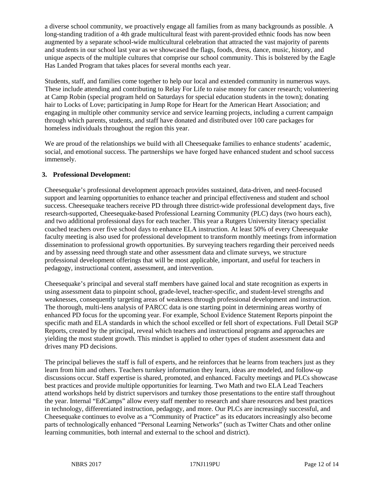a diverse school community, we proactively engage all families from as many backgrounds as possible. A long-standing tradition of a 4th grade multicultural feast with parent-provided ethnic foods has now been augmented by a separate school-wide multicultural celebration that attracted the vast majority of parents and students in our school last year as we showcased the flags, foods, dress, dance, music, history, and unique aspects of the multiple cultures that comprise our school community. This is bolstered by the Eagle Has Landed Program that takes places for several months each year.

Students, staff, and families come together to help our local and extended community in numerous ways. These include attending and contributing to Relay For Life to raise money for cancer research; volunteering at Camp Robin (special program held on Saturdays for special education students in the town); donating hair to Locks of Love; participating in Jump Rope for Heart for the American Heart Association; and engaging in multiple other community service and service learning projects, including a current campaign through which parents, students, and staff have donated and distributed over 100 care packages for homeless individuals throughout the region this year.

We are proud of the relationships we build with all Cheesequake families to enhance students' academic, social, and emotional success. The partnerships we have forged have enhanced student and school success immensely.

#### **3. Professional Development:**

Cheesequake's professional development approach provides sustained, data-driven, and need-focused support and learning opportunities to enhance teacher and principal effectiveness and student and school success. Cheesequake teachers receive PD through three district-wide professional development days, five research-supported, Cheesequake-based Professional Learning Community (PLC) days (two hours each), and two additional professional days for each teacher. This year a Rutgers University literacy specialist coached teachers over five school days to enhance ELA instruction. At least 50% of every Cheesequake faculty meeting is also used for professional development to transform monthly meetings from information dissemination to professional growth opportunities. By surveying teachers regarding their perceived needs and by assessing need through state and other assessment data and climate surveys, we structure professional development offerings that will be most applicable, important, and useful for teachers in pedagogy, instructional content, assessment, and intervention.

Cheesequake's principal and several staff members have gained local and state recognition as experts in using assessment data to pinpoint school, grade-level, teacher-specific, and student-level strengths and weaknesses, consequently targeting areas of weakness through professional development and instruction. The thorough, multi-lens analysis of PARCC data is one starting point in determining areas worthy of enhanced PD focus for the upcoming year. For example, School Evidence Statement Reports pinpoint the specific math and ELA standards in which the school excelled or fell short of expectations. Full Detail SGP Reports, created by the principal, reveal which teachers and instructional programs and approaches are yielding the most student growth. This mindset is applied to other types of student assessment data and drives many PD decisions.

The principal believes the staff is full of experts, and he reinforces that he learns from teachers just as they learn from him and others. Teachers turnkey information they learn, ideas are modeled, and follow-up discussions occur. Staff expertise is shared, promoted, and enhanced. Faculty meetings and PLCs showcase best practices and provide multiple opportunities for learning. Two Math and two ELA Lead Teachers attend workshops held by district supervisors and turnkey those presentations to the entire staff throughout the year. Internal "EdCamps" allow every staff member to research and share resources and best practices in technology, differentiated instruction, pedagogy, and more. Our PLCs are increasingly successful, and Cheesequake continues to evolve as a "Community of Practice" as its educators increasingly also become parts of technologically enhanced "Personal Learning Networks" (such as Twitter Chats and other online learning communities, both internal and external to the school and district).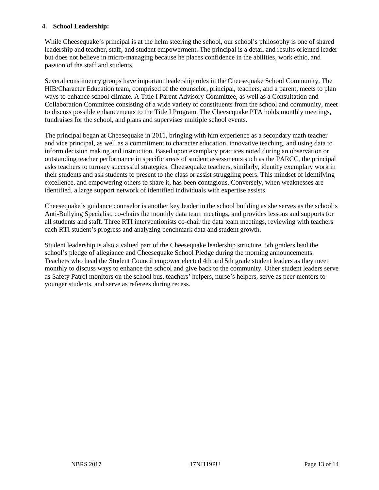#### **4. School Leadership:**

While Cheesequake's principal is at the helm steering the school, our school's philosophy is one of shared leadership and teacher, staff, and student empowerment. The principal is a detail and results oriented leader but does not believe in micro-managing because he places confidence in the abilities, work ethic, and passion of the staff and students.

Several constituency groups have important leadership roles in the Cheesequake School Community. The HIB/Character Education team, comprised of the counselor, principal, teachers, and a parent, meets to plan ways to enhance school climate. A Title I Parent Advisory Committee, as well as a Consultation and Collaboration Committee consisting of a wide variety of constituents from the school and community, meet to discuss possible enhancements to the Title I Program. The Cheesequake PTA holds monthly meetings, fundraises for the school, and plans and supervises multiple school events.

The principal began at Cheesequake in 2011, bringing with him experience as a secondary math teacher and vice principal, as well as a commitment to character education, innovative teaching, and using data to inform decision making and instruction. Based upon exemplary practices noted during an observation or outstanding teacher performance in specific areas of student assessments such as the PARCC, the principal asks teachers to turnkey successful strategies. Cheesequake teachers, similarly, identify exemplary work in their students and ask students to present to the class or assist struggling peers. This mindset of identifying excellence, and empowering others to share it, has been contagious. Conversely, when weaknesses are identified, a large support network of identified individuals with expertise assists.

Cheesequake's guidance counselor is another key leader in the school building as she serves as the school's Anti-Bullying Specialist, co-chairs the monthly data team meetings, and provides lessons and supports for all students and staff. Three RTI interventionists co-chair the data team meetings, reviewing with teachers each RTI student's progress and analyzing benchmark data and student growth.

Student leadership is also a valued part of the Cheesequake leadership structure. 5th graders lead the school's pledge of allegiance and Cheesequake School Pledge during the morning announcements. Teachers who head the Student Council empower elected 4th and 5th grade student leaders as they meet monthly to discuss ways to enhance the school and give back to the community. Other student leaders serve as Safety Patrol monitors on the school bus, teachers' helpers, nurse's helpers, serve as peer mentors to younger students, and serve as referees during recess.